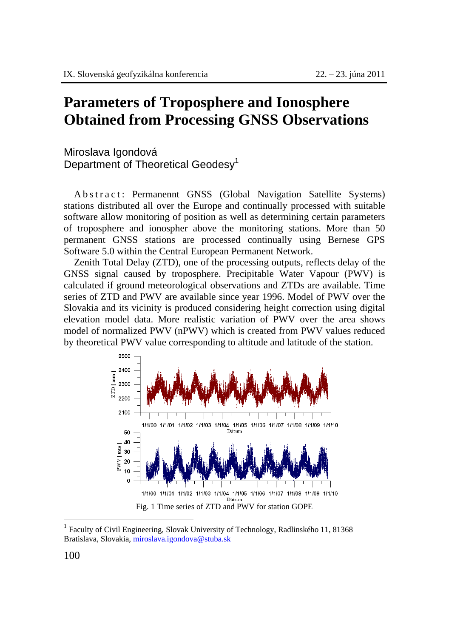## **Parameters of Troposphere and Ionosphere Obtained from Processing GNSS Observations**

Miroslava Igondová Department of Theoretical Geodesy<sup>1</sup>

A b s t r a c t : Permanennt GNSS (Global Navigation Satellite Systems) stations distributed all over the Europe and continually processed with suitable software allow monitoring of position as well as determining certain parameters of troposphere and ionospher above the monitoring stations. More than 50 permanent GNSS stations are processed continually using Bernese GPS Software 5.0 within the Central European Permanent Network.

Zenith Total Delay (ZTD), one of the processing outputs, reflects delay of the GNSS signal caused by troposphere. Precipitable Water Vapour (PWV) is calculated if ground meteorological observations and ZTDs are available. Time series of ZTD and PWV are available since year 1996. Model of PWV over the Slovakia and its vicinity is produced considering height correction using digital elevation model data. More realistic variation of PWV over the area shows model of normalized PWV (nPWV) which is created from PWV values reduced by theoretical PWV value corresponding to altitude and latitude of the station.



<sup>1</sup> Faculty of Civil Engineering, Slovak University of Technology, Radlinského 11, 81368 Bratislava, Slovakia, miroslava.igondova@stuba.sk

 $\overline{a}$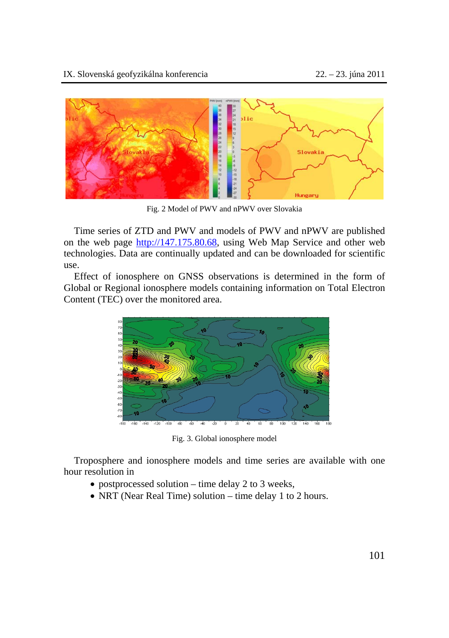

Fig. 2 Model of PWV and nPWV over Slovakia

Time series of ZTD and PWV and models of PWV and nPWV are published on the web page http://147.175.80.68, using Web Map Service and other web technologies. Data are continually updated and can be downloaded for scientific use.

Effect of ionosphere on GNSS observations is determined in the form of Global or Regional ionosphere models containing information on Total Electron Content (TEC) over the monitored area.



Fig. 3. Global ionosphere model

Troposphere and ionosphere models and time series are available with one hour resolution in

- postprocessed solution time delay 2 to 3 weeks,
- NRT (Near Real Time) solution time delay 1 to 2 hours.